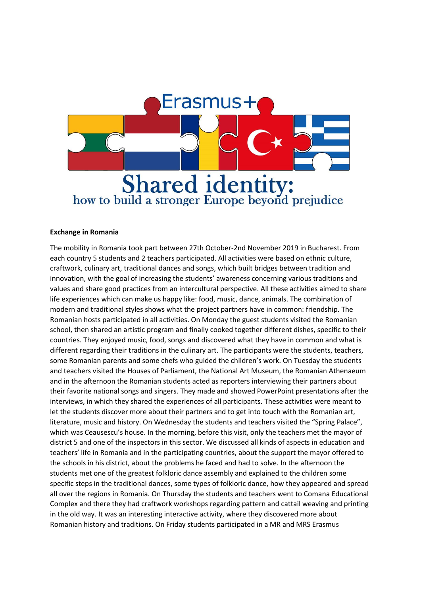

## **Exchange in Romania**

The mobility in Romania took part between 27th October-2nd November 2019 in Bucharest. From each country 5 students and 2 teachers participated. All activities were based on ethnic culture, craftwork, culinary art, traditional dances and songs, which built bridges between tradition and innovation, with the goal of increasing the students' awareness concerning various traditions and values and share good practices from an intercultural perspective. All these activities aimed to share life experiences which can make us happy like: food, music, dance, animals. The combination of modern and traditional styles shows what the project partners have in common: friendship. The Romanian hosts participated in all activities. On Monday the guest students visited the Romanian school, then shared an artistic program and finally cooked together different dishes, specific to their countries. They enjoyed music, food, songs and discovered what they have in common and what is different regarding their traditions in the culinary art. The participants were the students, teachers, some Romanian parents and some chefs who guided the children's work. On Tuesday the students and teachers visited the Houses of Parliament, the National Art Museum, the Romanian Athenaeum and in the afternoon the Romanian students acted as reporters interviewing their partners about their favorite national songs and singers. They made and showed PowerPoint presentations after the interviews, in which they shared the experiences of all participants. These activities were meant to let the students discover more about their partners and to get into touch with the Romanian art, literature, music and history. On Wednesday the students and teachers visited the "Spring Palace", which was Ceausescu's house. In the morning, before this visit, only the teachers met the mayor of district 5 and one of the inspectors in this sector. We discussed all kinds of aspects in education and teachers' life in Romania and in the participating countries, about the support the mayor offered to the schools in his district, about the problems he faced and had to solve. In the afternoon the students met one of the greatest folkloric dance assembly and explained to the children some specific steps in the traditional dances, some types of folkloric dance, how they appeared and spread all over the regions in Romania. On Thursday the students and teachers went to Comana Educational Complex and there they had craftwork workshops regarding pattern and cattail weaving and printing in the old way. It was an interesting interactive activity, where they discovered more about Romanian history and traditions. On Friday students participated in a MR and MRS Erasmus